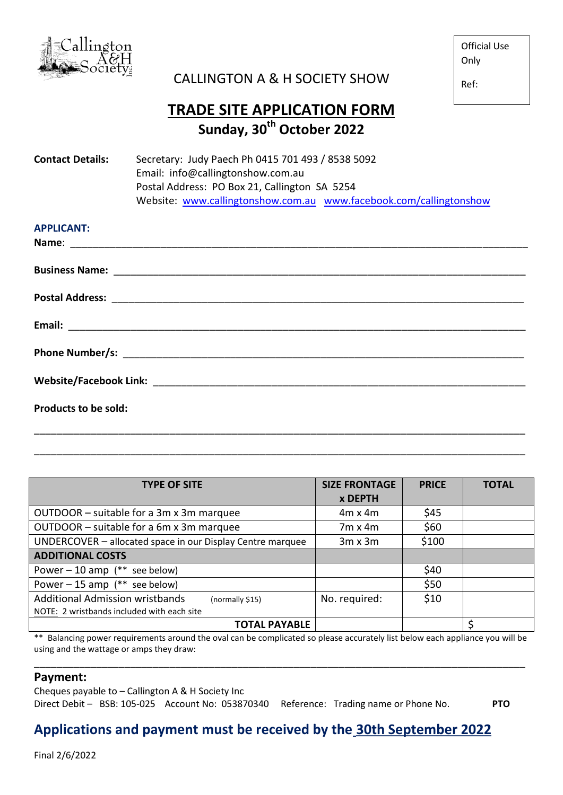

CALLINGTON A & H SOCIETY SHOW

Official Use **Only** 

Ref:

## **TRADE SITE APPLICATION FORM Sunday, 30th October 2022**

| <b>Contact Details:</b>           | Secretary: Judy Paech Ph 0415 701 493 / 8538 5092                  |  |  |  |
|-----------------------------------|--------------------------------------------------------------------|--|--|--|
| Email: info@callingtonshow.com.au |                                                                    |  |  |  |
|                                   | Postal Address: PO Box 21, Callington SA 5254                      |  |  |  |
|                                   | Website: www.callingtonshow.com.au www.facebook.com/callingtonshow |  |  |  |
|                                   |                                                                    |  |  |  |

| <b>APPLICANT:</b>    |  |  |
|----------------------|--|--|
|                      |  |  |
|                      |  |  |
|                      |  |  |
|                      |  |  |
|                      |  |  |
|                      |  |  |
|                      |  |  |
|                      |  |  |
| Products to be sold: |  |  |
|                      |  |  |

| <b>TYPE OF SITE</b>                                        | <b>SIZE FRONTAGE</b><br><b>x DEPTH</b> | <b>PRICE</b> | <b>TOTAL</b> |
|------------------------------------------------------------|----------------------------------------|--------------|--------------|
| OUTDOOR - suitable for a 3m x 3m marquee                   | $4m \times 4m$                         | \$45         |              |
| OUTDOOR - suitable for a 6m x 3m marquee                   | $7m \times 4m$                         | \$60         |              |
| UNDERCOVER - allocated space in our Display Centre marquee | $3m \times 3m$                         | \$100        |              |
| <b>ADDITIONAL COSTS</b>                                    |                                        |              |              |
| Power $-10$ amp (** see below)                             |                                        | \$40         |              |
| Power $-15$ amp (** see below)                             |                                        | \$50         |              |
| <b>Additional Admission wristbands</b><br>(normally \$15)  | No. required:                          | \$10         |              |
| NOTE: 2 wristbands included with each site                 |                                        |              |              |
| <b>TOTAL PAYABLE</b>                                       |                                        |              | \$           |

\_\_\_\_\_\_\_\_\_\_\_\_\_\_\_\_\_\_\_\_\_\_\_\_\_\_\_\_\_\_\_\_\_\_\_\_\_\_\_\_\_\_\_\_\_\_\_\_\_\_\_\_\_\_\_\_\_\_\_\_\_\_\_\_\_\_\_\_\_\_\_\_\_\_\_\_\_\_\_\_\_\_\_\_\_\_\_

\*\* Balancing power requirements around the oval can be complicated so please accurately list below each appliance you will be using and the wattage or amps they draw:

\_\_\_\_\_\_\_\_\_\_\_\_\_\_\_\_\_\_\_\_\_\_\_\_\_\_\_\_\_\_\_\_\_\_\_\_\_\_\_\_\_\_\_\_\_\_\_\_\_\_\_\_\_\_\_\_\_\_\_\_\_\_\_\_\_\_\_\_\_\_\_\_\_\_\_\_\_\_\_\_\_\_\_\_\_\_\_

## **Payment:**

Cheques payable to – Callington A & H Society Inc Direct Debit – BSB: 105-025 Account No: 053870340 Reference: Trading name or Phone No. **PTO**

## **Applications and payment must be received by the 30th September 2022**

Final 2/6/2022